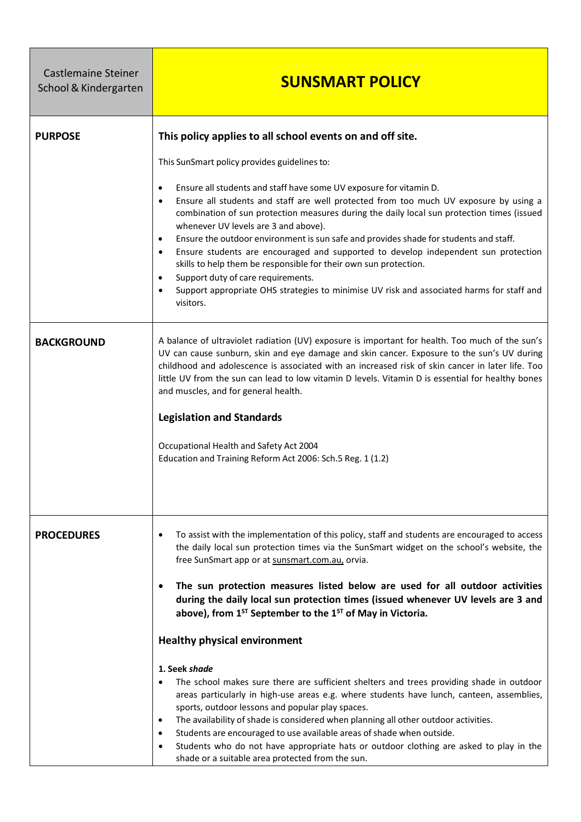| <b>Castlemaine Steiner</b><br>School & Kindergarten | <b>SUNSMART POLICY</b>                                                                                                                                                                                                                                                                                                                                                                                                                                                                                                                                                                                                                                                                                                                                                                                                                                                                                                                                                                                                                                                                                                    |
|-----------------------------------------------------|---------------------------------------------------------------------------------------------------------------------------------------------------------------------------------------------------------------------------------------------------------------------------------------------------------------------------------------------------------------------------------------------------------------------------------------------------------------------------------------------------------------------------------------------------------------------------------------------------------------------------------------------------------------------------------------------------------------------------------------------------------------------------------------------------------------------------------------------------------------------------------------------------------------------------------------------------------------------------------------------------------------------------------------------------------------------------------------------------------------------------|
| <b>PURPOSE</b>                                      | This policy applies to all school events on and off site.<br>This SunSmart policy provides guidelines to:<br>Ensure all students and staff have some UV exposure for vitamin D.<br>$\bullet$<br>Ensure all students and staff are well protected from too much UV exposure by using a<br>combination of sun protection measures during the daily local sun protection times (issued<br>whenever UV levels are 3 and above).<br>Ensure the outdoor environment is sun safe and provides shade for students and staff.<br>$\bullet$<br>Ensure students are encouraged and supported to develop independent sun protection<br>skills to help them be responsible for their own sun protection.<br>Support duty of care requirements.<br>Support appropriate OHS strategies to minimise UV risk and associated harms for staff and<br>visitors.                                                                                                                                                                                                                                                                               |
| <b>BACKGROUND</b>                                   | A balance of ultraviolet radiation (UV) exposure is important for health. Too much of the sun's<br>UV can cause sunburn, skin and eye damage and skin cancer. Exposure to the sun's UV during<br>childhood and adolescence is associated with an increased risk of skin cancer in later life. Too<br>little UV from the sun can lead to low vitamin D levels. Vitamin D is essential for healthy bones<br>and muscles, and for general health.<br><b>Legislation and Standards</b><br>Occupational Health and Safety Act 2004<br>Education and Training Reform Act 2006: Sch.5 Reg. 1 (1.2)                                                                                                                                                                                                                                                                                                                                                                                                                                                                                                                               |
| <b>PROCEDURES</b>                                   | To assist with the implementation of this policy, staff and students are encouraged to access<br>the daily local sun protection times via the SunSmart widget on the school's website, the<br>free SunSmart app or at sunsmart.com.au, orvia.<br>The sun protection measures listed below are used for all outdoor activities<br>during the daily local sun protection times (issued whenever UV levels are 3 and<br>above), from 1 <sup>5T</sup> September to the 1 <sup>ST</sup> of May in Victoria.<br><b>Healthy physical environment</b><br>1. Seek shade<br>The school makes sure there are sufficient shelters and trees providing shade in outdoor<br>areas particularly in high-use areas e.g. where students have lunch, canteen, assemblies,<br>sports, outdoor lessons and popular play spaces.<br>The availability of shade is considered when planning all other outdoor activities.<br>Students are encouraged to use available areas of shade when outside.<br>Students who do not have appropriate hats or outdoor clothing are asked to play in the<br>shade or a suitable area protected from the sun. |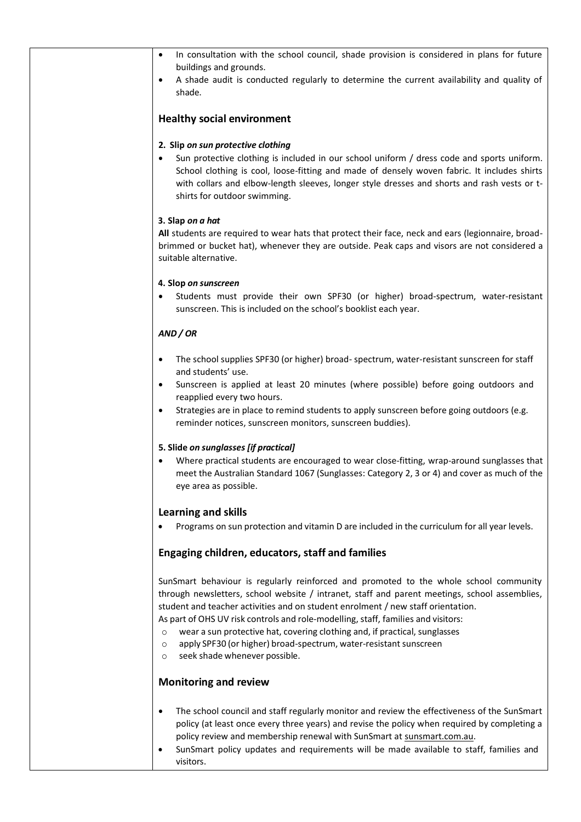| In consultation with the school council, shade provision is considered in plans for future<br>buildings and grounds.                                                                                                                                                                                                                                                                                                                                                                                                                                                                 |  |
|--------------------------------------------------------------------------------------------------------------------------------------------------------------------------------------------------------------------------------------------------------------------------------------------------------------------------------------------------------------------------------------------------------------------------------------------------------------------------------------------------------------------------------------------------------------------------------------|--|
| A shade audit is conducted regularly to determine the current availability and quality of<br>shade.                                                                                                                                                                                                                                                                                                                                                                                                                                                                                  |  |
| <b>Healthy social environment</b>                                                                                                                                                                                                                                                                                                                                                                                                                                                                                                                                                    |  |
| 2. Slip on sun protective clothing<br>Sun protective clothing is included in our school uniform / dress code and sports uniform.<br>School clothing is cool, loose-fitting and made of densely woven fabric. It includes shirts<br>with collars and elbow-length sleeves, longer style dresses and shorts and rash vests or t-<br>shirts for outdoor swimming.                                                                                                                                                                                                                       |  |
| 3. Slap on a hat                                                                                                                                                                                                                                                                                                                                                                                                                                                                                                                                                                     |  |
| All students are required to wear hats that protect their face, neck and ears (legionnaire, broad-<br>brimmed or bucket hat), whenever they are outside. Peak caps and visors are not considered a<br>suitable alternative.                                                                                                                                                                                                                                                                                                                                                          |  |
| 4. Slop on sunscreen                                                                                                                                                                                                                                                                                                                                                                                                                                                                                                                                                                 |  |
| Students must provide their own SPF30 (or higher) broad-spectrum, water-resistant<br>sunscreen. This is included on the school's booklist each year.                                                                                                                                                                                                                                                                                                                                                                                                                                 |  |
| AND / OR                                                                                                                                                                                                                                                                                                                                                                                                                                                                                                                                                                             |  |
| The school supplies SPF30 (or higher) broad-spectrum, water-resistant sunscreen for staff<br>and students' use.                                                                                                                                                                                                                                                                                                                                                                                                                                                                      |  |
| Sunscreen is applied at least 20 minutes (where possible) before going outdoors and<br>reapplied every two hours.                                                                                                                                                                                                                                                                                                                                                                                                                                                                    |  |
| Strategies are in place to remind students to apply sunscreen before going outdoors (e.g.<br>٠<br>reminder notices, sunscreen monitors, sunscreen buddies).                                                                                                                                                                                                                                                                                                                                                                                                                          |  |
| 5. Slide on sunglasses [if practical]                                                                                                                                                                                                                                                                                                                                                                                                                                                                                                                                                |  |
| Where practical students are encouraged to wear close-fitting, wrap-around sunglasses that<br>$\bullet$<br>meet the Australian Standard 1067 (Sunglasses: Category 2, 3 or 4) and cover as much of the<br>eye area as possible.                                                                                                                                                                                                                                                                                                                                                      |  |
| <b>Learning and skills</b>                                                                                                                                                                                                                                                                                                                                                                                                                                                                                                                                                           |  |
| Programs on sun protection and vitamin D are included in the curriculum for all year levels.                                                                                                                                                                                                                                                                                                                                                                                                                                                                                         |  |
| Engaging children, educators, staff and families                                                                                                                                                                                                                                                                                                                                                                                                                                                                                                                                     |  |
| SunSmart behaviour is regularly reinforced and promoted to the whole school community<br>through newsletters, school website / intranet, staff and parent meetings, school assemblies,<br>student and teacher activities and on student enrolment / new staff orientation.<br>As part of OHS UV risk controls and role-modelling, staff, families and visitors:<br>wear a sun protective hat, covering clothing and, if practical, sunglasses<br>$\circ$<br>apply SPF30 (or higher) broad-spectrum, water-resistant sunscreen<br>$\circ$<br>seek shade whenever possible.<br>$\circ$ |  |
| <b>Monitoring and review</b>                                                                                                                                                                                                                                                                                                                                                                                                                                                                                                                                                         |  |
| The school council and staff regularly monitor and review the effectiveness of the SunSmart<br>$\bullet$<br>policy (at least once every three years) and revise the policy when required by completing a<br>policy review and membership renewal with SunSmart at sunsmart.com.au.                                                                                                                                                                                                                                                                                                   |  |

• SunSmart policy updates and requirements will be made available to staff, families and visitors.